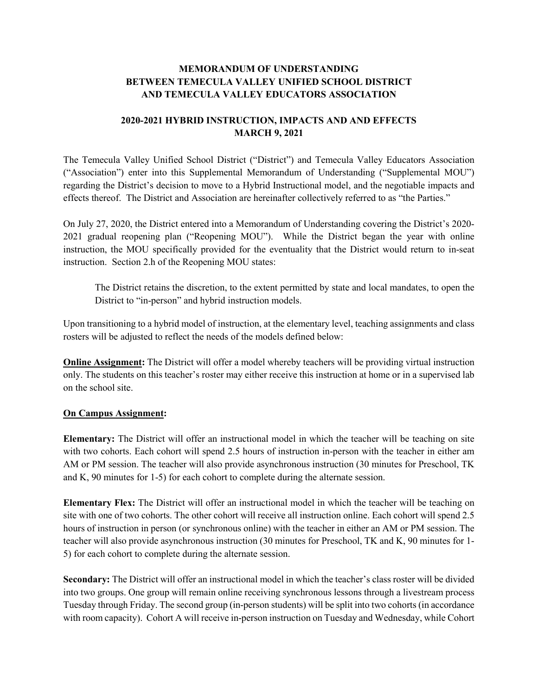## **MEMORANDUM OF UNDERSTANDING BETWEEN TEMECULA VALLEY UNIFIED SCHOOL DISTRICT AND TEMECULA VALLEY EDUCATORS ASSOCIATION**

## **2020-2021 HYBRID INSTRUCTION, IMPACTS AND AND EFFECTS MARCH 9, 2021**

The Temecula Valley Unified School District ("District") and Temecula Valley Educators Association ("Association") enter into this Supplemental Memorandum of Understanding ("Supplemental MOU") regarding the District's decision to move to a Hybrid Instructional model, and the negotiable impacts and effects thereof. The District and Association are hereinafter collectively referred to as "the Parties."

On July 27, 2020, the District entered into a Memorandum of Understanding covering the District's 2020- 2021 gradual reopening plan ("Reopening MOU"). While the District began the year with online instruction, the MOU specifically provided for the eventuality that the District would return to in-seat instruction. Section 2.h of the Reopening MOU states:

The District retains the discretion, to the extent permitted by state and local mandates, to open the District to "in-person" and hybrid instruction models.

Upon transitioning to a hybrid model of instruction, at the elementary level, teaching assignments and class rosters will be adjusted to reflect the needs of the models defined below:

**Online Assignment:** The District will offer a model whereby teachers will be providing virtual instruction only. The students on this teacher's roster may either receive this instruction at home or in a supervised lab on the school site.

## **On Campus Assignment:**

**Elementary:** The District will offer an instructional model in which the teacher will be teaching on site with two cohorts. Each cohort will spend 2.5 hours of instruction in-person with the teacher in either am AM or PM session. The teacher will also provide asynchronous instruction (30 minutes for Preschool, TK and K, 90 minutes for 1-5) for each cohort to complete during the alternate session.

**Elementary Flex:** The District will offer an instructional model in which the teacher will be teaching on site with one of two cohorts. The other cohort will receive all instruction online. Each cohort will spend 2.5 hours of instruction in person (or synchronous online) with the teacher in either an AM or PM session. The teacher will also provide asynchronous instruction (30 minutes for Preschool, TK and K, 90 minutes for 1- 5) for each cohort to complete during the alternate session.

**Secondary:** The District will offer an instructional model in which the teacher's class roster will be divided into two groups. One group will remain online receiving synchronous lessons through a livestream process Tuesday through Friday. The second group (in-person students) will be split into two cohorts (in accordance with room capacity). Cohort A will receive in-person instruction on Tuesday and Wednesday, while Cohort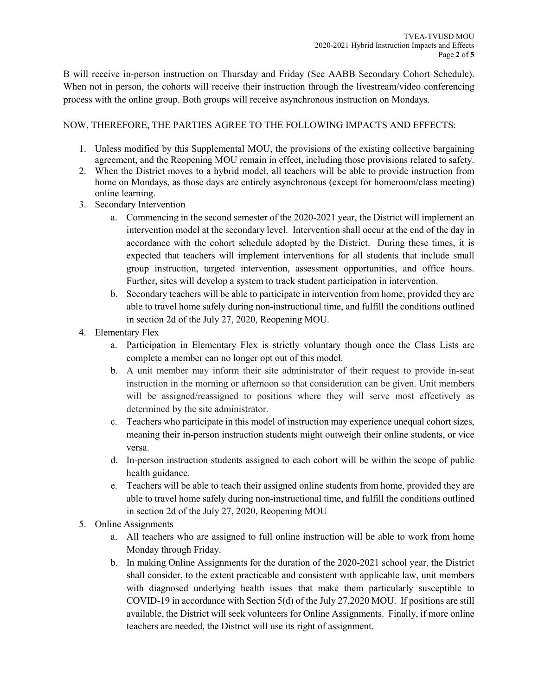B will receive in-person instruction on Thursday and Friday (See AABB Secondary Cohort Schedule). When not in person, the cohorts will receive their instruction through the livestream/video conferencing process with the online group. Both groups will receive asynchronous instruction on Mondays.

## NOW, THEREFORE, THE PARTIES AGREE TO THE FOLLOWING IMPACTS AND EFFECTS:

- 1. Unless modified by this Supplemental MOU, the provisions of the existing collective bargaining agreement, and the Reopening MOU remain in effect, including those provisions related to safety.
- 2. When the District moves to a hybrid model, all teachers will be able to provide instruction from home on Mondays, as those days are entirely asynchronous (except for homeroom/class meeting) online learning.
- 3. Secondary Intervention
	- a. Commencing in the second semester of the 2020-2021 year, the District will implement an intervention model at the secondary level. Intervention shall occur at the end of the day in accordance with the cohort schedule adopted by the District. During these times, it is expected that teachers will implement interventions for all students that include small group instruction, targeted intervention, assessment opportunities, and office hours. Further, sites will develop a system to track student participation in intervention.
	- b. Secondary teachers will be able to participate in intervention from home, provided they are able to travel home safely during non-instructional time, and fulfill the conditions outlined in section 2d of the July 27, 2020, Reopening MOU.
- 4. Elementary Flex
	- a. Participation in Elementary Flex is strictly voluntary though once the Class Lists are complete a member can no longer opt out of this model.
	- b. A unit member may inform their site administrator of their request to provide in-seat instruction in the morning or afternoon so that consideration can be given. Unit members will be assigned/reassigned to positions where they will serve most effectively as determined by the site administrator.
	- c. Teachers who participate in this model of instruction may experience unequal cohort sizes, meaning their in-person instruction students might outweigh their online students, or vice versa.
	- d. In-person instruction students assigned to each cohort will be within the scope of public health guidance.
	- e. Teachers will be able to teach their assigned online students from home, provided they are able to travel home safely during non-instructional time, and fulfill the conditions outlined in section 2d of the July 27, 2020, Reopening MOU
- 5. Online Assignments
	- a. All teachers who are assigned to full online instruction will be able to work from home Monday through Friday.
	- b. In making Online Assignments for the duration of the 2020-2021 school year, the District shall consider, to the extent practicable and consistent with applicable law, unit members with diagnosed underlying health issues that make them particularly susceptible to COVID-19 in accordance with Section 5(d) of the July 27,2020 MOU. If positions are still available, the District will seek volunteers for Online Assignments. Finally, if more online teachers are needed, the District will use its right of assignment.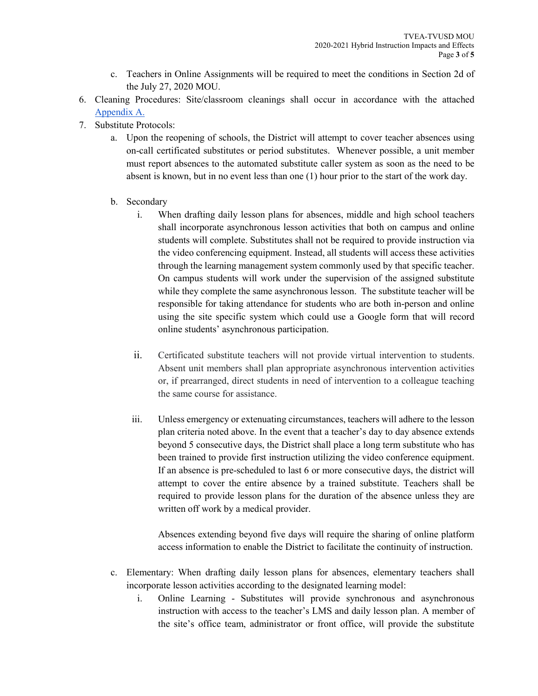- c. Teachers in Online Assignments will be required to meet the conditions in Section 2d of the July 27, 2020 MOU.
- 6. Cleaning Procedures: Site/classroom cleanings shall occur in accordance with the attached [Appendix A.](https://docs.google.com/document/d/17W8JmEJIFEDLK6m8mj_YQoo-U17CK61gGpAjPh2Zcrw/edit)
- 7. Substitute Protocols:
	- a. Upon the reopening of schools, the District will attempt to cover teacher absences using on-call certificated substitutes or period substitutes. Whenever possible, a unit member must report absences to the automated substitute caller system as soon as the need to be absent is known, but in no event less than one (1) hour prior to the start of the work day.
	- b. Secondary
		- i. When drafting daily lesson plans for absences, middle and high school teachers shall incorporate asynchronous lesson activities that both on campus and online students will complete. Substitutes shall not be required to provide instruction via the video conferencing equipment. Instead, all students will access these activities through the learning management system commonly used by that specific teacher. On campus students will work under the supervision of the assigned substitute while they complete the same asynchronous lesson. The substitute teacher will be responsible for taking attendance for students who are both in-person and online using the site specific system which could use a Google form that will record online students' asynchronous participation.
		- ii. Certificated substitute teachers will not provide virtual intervention to students. Absent unit members shall plan appropriate asynchronous intervention activities or, if prearranged, direct students in need of intervention to a colleague teaching the same course for assistance.
		- iii. Unless emergency or extenuating circumstances, teachers will adhere to the lesson plan criteria noted above. In the event that a teacher's day to day absence extends beyond 5 consecutive days, the District shall place a long term substitute who has been trained to provide first instruction utilizing the video conference equipment. If an absence is pre-scheduled to last 6 or more consecutive days, the district will attempt to cover the entire absence by a trained substitute. Teachers shall be required to provide lesson plans for the duration of the absence unless they are written off work by a medical provider.

Absences extending beyond five days will require the sharing of online platform access information to enable the District to facilitate the continuity of instruction.

- c. Elementary: When drafting daily lesson plans for absences, elementary teachers shall incorporate lesson activities according to the designated learning model:
	- i. Online Learning Substitutes will provide synchronous and asynchronous instruction with access to the teacher's LMS and daily lesson plan. A member of the site's office team, administrator or front office, will provide the substitute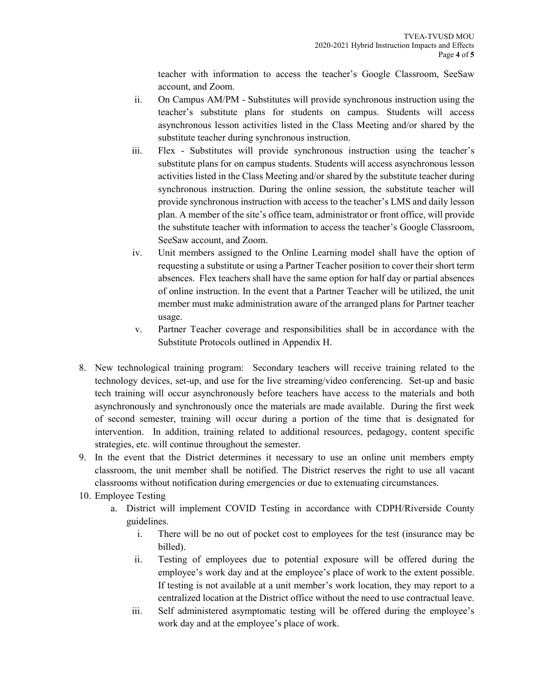teacher with information to access the teacher's Google Classroom, SeeSaw account, and Zoom.

- ii. On Campus AM/PM Substitutes will provide synchronous instruction using the teacher's substitute plans for students on campus. Students will access asynchronous lesson activities listed in the Class Meeting and/or shared by the substitute teacher during synchronous instruction.
- iii. Flex Substitutes will provide synchronous instruction using the teacher's substitute plans for on campus students. Students will access asynchronous lesson activities listed in the Class Meeting and/or shared by the substitute teacher during synchronous instruction. During the online session, the substitute teacher will provide synchronous instruction with access to the teacher's LMS and daily lesson plan. A member of the site's office team, administrator or front office, will provide the substitute teacher with information to access the teacher's Google Classroom, SeeSaw account, and Zoom.
- iv. Unit members assigned to the Online Learning model shall have the option of requesting a substitute or using a Partner Teacher position to cover their short term absences. Flex teachers shall have the same option for half day or partial absences of online instruction. In the event that a Partner Teacher will be utilized, the unit member must make administration aware of the arranged plans for Partner teacher usage.
- v. Partner Teacher coverage and responsibilities shall be in accordance with the Substitute Protocols outlined in Appendix H.
- 8. New technological training program: Secondary teachers will receive training related to the technology devices, set-up, and use for the live streaming/video conferencing. Set-up and basic tech training will occur asynchronously before teachers have access to the materials and both asynchronously and synchronously once the materials are made available. During the first week of second semester, training will occur during a portion of the time that is designated for intervention. In addition, training related to additional resources, pedagogy, content specific strategies, etc. will continue throughout the semester.
- 9. In the event that the District determines it necessary to use an online unit members empty classroom, the unit member shall be notified. The District reserves the right to use all vacant classrooms without notification during emergencies or due to extenuating circumstances.
- 10. Employee Testing
	- a. District will implement COVID Testing in accordance with CDPH/Riverside County guidelines.
		- i. There will be no out of pocket cost to employees for the test (insurance may be billed).
		- ii. Testing of employees due to potential exposure will be offered during the employee's work day and at the employee's place of work to the extent possible. If testing is not available at a unit member's work location, they may report to a centralized location at the District office without the need to use contractual leave.
		- iii. Self administered asymptomatic testing will be offered during the employee's work day and at the employee's place of work.